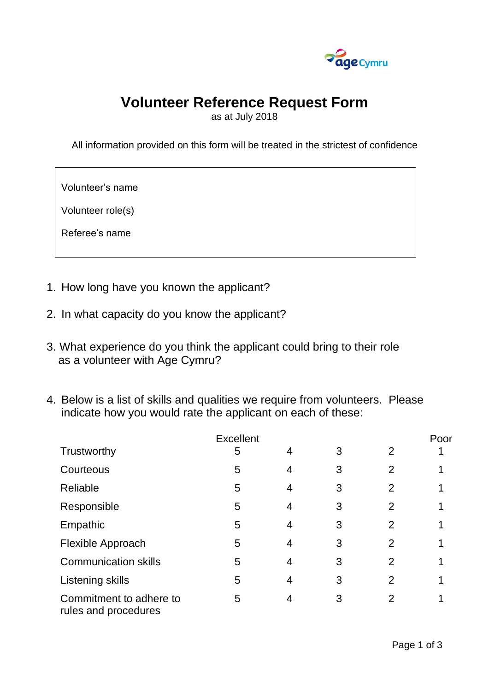

## **Volunteer Reference Request Form**

as at July 2018

All information provided on this form will be treated in the strictest of confidence

Volunteer's name

Volunteer role(s)

Referee's name

- 1. How long have you known the applicant?
- 2. In what capacity do you know the applicant?
- 3. What experience do you think the applicant could bring to their role as a volunteer with Age Cymru?
- 4. Below is a list of skills and qualities we require from volunteers. Please indicate how you would rate the applicant on each of these:

| <b>Excellent</b>                                |                |   |   |                | Poor |
|-------------------------------------------------|----------------|---|---|----------------|------|
| Trustworthy                                     | 5              | 4 | 3 | $\overline{2}$ |      |
| Courteous                                       | 5              | 4 | 3 | $\overline{2}$ |      |
| Reliable                                        | $5\phantom{1}$ | 4 | 3 | $\overline{2}$ |      |
| Responsible                                     | 5              | 4 | 3 | $\overline{2}$ |      |
| Empathic                                        | 5              | 4 | 3 | 2              |      |
| Flexible Approach                               | 5              | 4 | 3 | $\overline{2}$ |      |
| <b>Communication skills</b>                     | 5              | 4 | 3 | $\overline{2}$ |      |
| Listening skills                                | 5              | 4 | 3 | $\overline{2}$ |      |
| Commitment to adhere to<br>rules and procedures | 5              | 4 | 3 | 2              |      |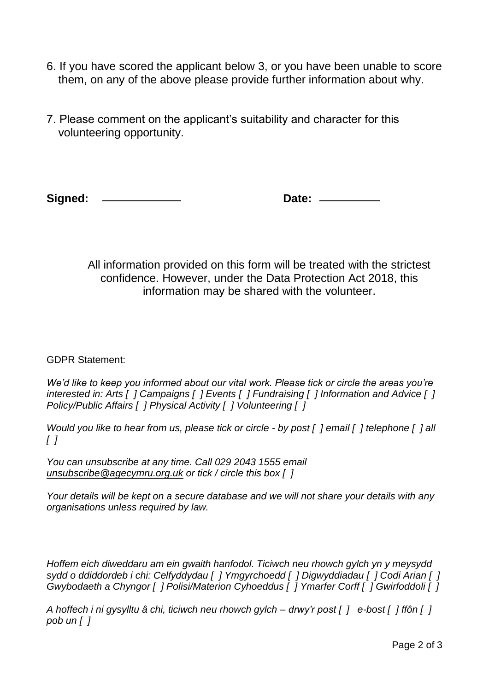- 6. If you have scored the applicant below 3, or you have been unable to score them, on any of the above please provide further information about why.
- 7. Please comment on the applicant's suitability and character for this volunteering opportunity.

**Signed: Date:**

All information provided on this form will be treated with the strictest confidence. However, under the Data Protection Act 2018, this information may be shared with the volunteer.

GDPR Statement:

*We'd like to keep you informed about our vital work. Please tick or circle the areas you're interested in: Arts [ ] Campaigns [ ] Events [ ] Fundraising [ ] Information and Advice [ ] Policy/Public Affairs [ ] Physical Activity [ ] Volunteering [ ]*

*Would you like to hear from us, please tick or circle - by post [ ] email [ ] telephone [ ] all [ ]*

*You can unsubscribe at any time. Call 029 2043 1555 email [unsubscribe@agecymru.org.uk](mailto:unsubscribe@agecymru.org.uk) or tick / circle this box [ ]*

*Your details will be kept on a secure database and we will not share your details with any organisations unless required by law.*

*Hoffem eich diweddaru am ein gwaith hanfodol. Ticiwch neu rhowch gylch yn y meysydd sydd o ddiddordeb i chi: Celfyddydau [ ] Ymgyrchoedd [ ] Digwyddiadau [ ] Codi Arian [ ] Gwybodaeth a Chyngor [ ] Polisi/Materion Cyhoeddus [ ] Ymarfer Corff [ ] Gwirfoddoli [ ]*

*A hoffech i ni gysylltu â chi, ticiwch neu rhowch gylch – drwy'r post [ ] e-bost [ ] ffôn [ ] pob un [ ]*